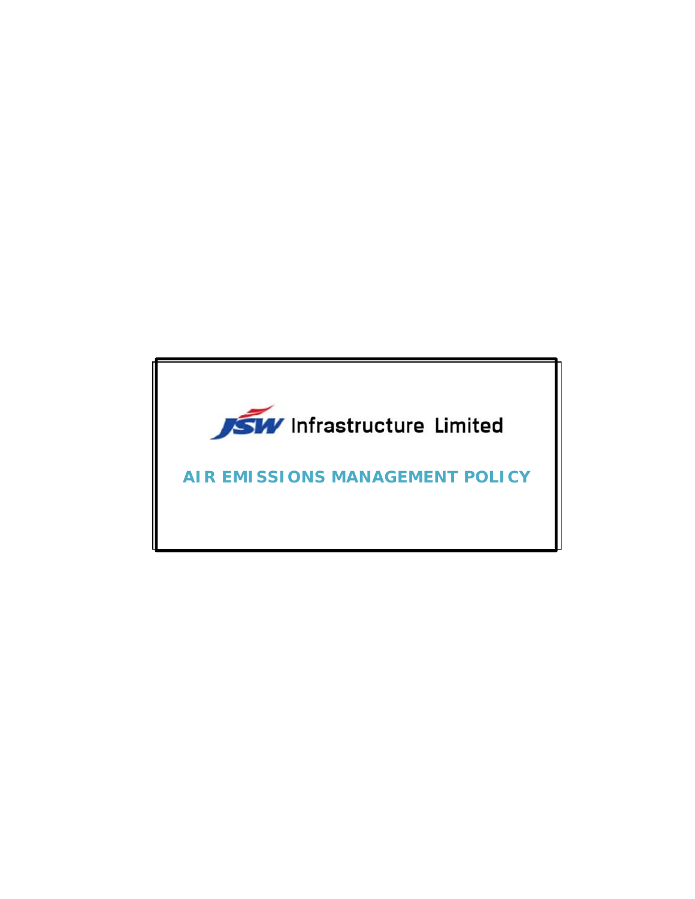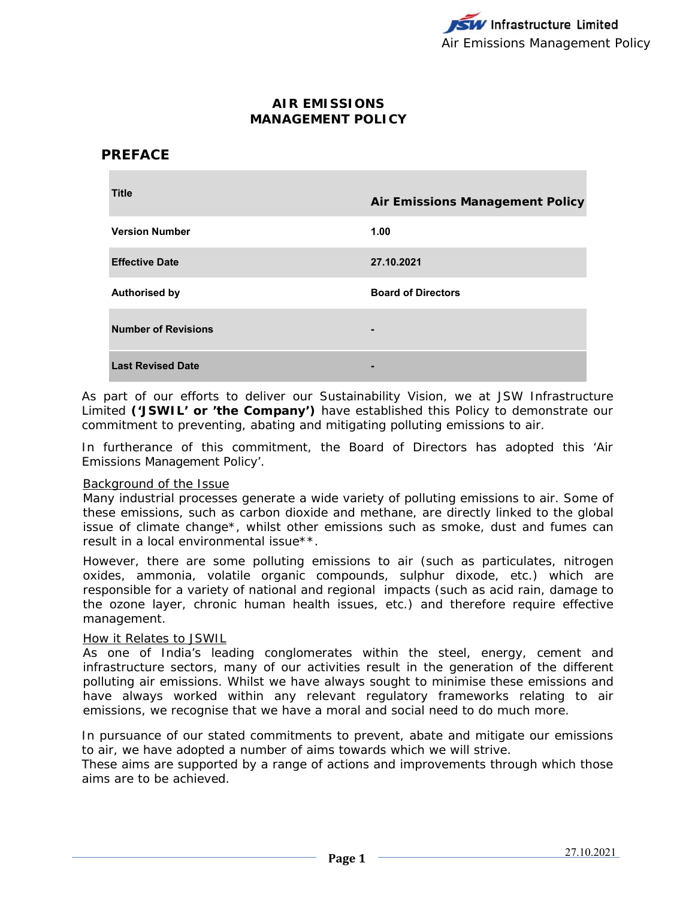## **AIR EMISSIONS MANAGEMENT POLICY**

# **PREFACE**

| <b>Title</b>               | <b>Air Emissions Management Policy</b> |
|----------------------------|----------------------------------------|
| <b>Version Number</b>      | 1.00                                   |
| <b>Effective Date</b>      | 27.10.2021                             |
| <b>Authorised by</b>       | <b>Board of Directors</b>              |
| <b>Number of Revisions</b> | -                                      |
| <b>Last Revised Date</b>   |                                        |

As part of our efforts to deliver our Sustainability Vision, we at JSW Infrastructure Limited **('JSWIL' or 'the Company')** have established this Policy to demonstrate our commitment to preventing, abating and mitigating polluting emissions to air.

In furtherance of this commitment, the Board of Directors has adopted this 'Air Emissions Management Policy'.

#### Background of the Issue

Many industrial processes generate a wide variety of polluting emissions to air. Some of these emissions, such as carbon dioxide and methane, are directly linked to the global issue of climate change\*, whilst other emissions such as smoke, dust and fumes can result in a local environmental issue\*\*.

However, there are some polluting emissions to air (such as particulates, nitrogen oxides, ammonia, volatile organic compounds, sulphur dixode, etc.) which are responsible for a variety of national and regional impacts (such as acid rain, damage to the ozone layer, chronic human health issues, etc.) and therefore require effective management.

#### How it Relates to JSWIL

As one of India's leading conglomerates within the steel, energy, cement and infrastructure sectors, many of our activities result in the generation of the different polluting air emissions. Whilst we have always sought to minimise these emissions and have always worked within any relevant regulatory frameworks relating to air emissions, we recognise that we have a moral and social need to do much more.

In pursuance of our stated commitments to prevent, abate and mitigate our emissions to air, we have adopted a number of aims towards which we will strive.

These aims are supported by a range of actions and improvements through which those aims are to be achieved.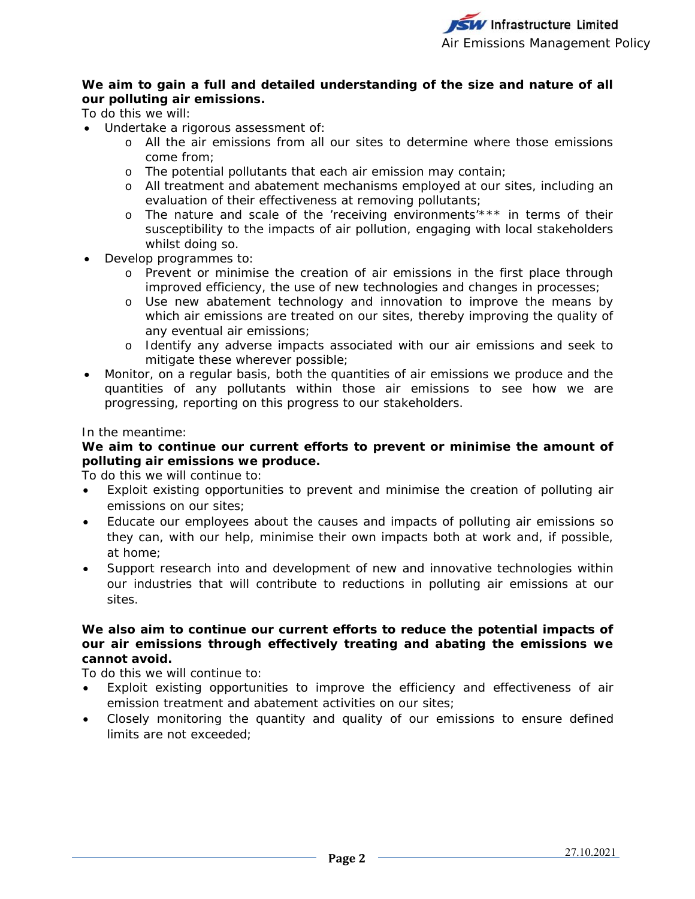## **We aim to gain a full and detailed understanding of the size and nature of all our polluting air emissions.**

To do this we will:

- Undertake a rigorous assessment of:
	- o All the air emissions from all our sites to determine where those emissions come from;
	- o The potential pollutants that each air emission may contain;
	- o All treatment and abatement mechanisms employed at our sites, including an evaluation of their effectiveness at removing pollutants;
	- o The nature and scale of the 'receiving environments'\*\*\* in terms of their susceptibility to the impacts of air pollution, engaging with local stakeholders whilst doing so.
- Develop programmes to:
	- o Prevent or minimise the creation of air emissions in the first place through improved efficiency, the use of new technologies and changes in processes;
	- o Use new abatement technology and innovation to improve the means by which air emissions are treated on our sites, thereby improving the quality of any eventual air emissions;
	- o Identify any adverse impacts associated with our air emissions and seek to mitigate these wherever possible;
- Monitor, on a regular basis, both the quantities of air emissions we produce and the quantities of any pollutants within those air emissions to see how we are progressing, reporting on this progress to our stakeholders.

## In the meantime:

## **We aim to continue our current efforts to prevent or minimise the amount of polluting air emissions we produce.**

To do this we will continue to:

- Exploit existing opportunities to prevent and minimise the creation of polluting air emissions on our sites;
- Educate our employees about the causes and impacts of polluting air emissions so they can, with our help, minimise their own impacts both at work and, if possible, at home;
- Support research into and development of new and innovative technologies within our industries that will contribute to reductions in polluting air emissions at our sites.

## **We also aim to continue our current efforts to reduce the potential impacts of our air emissions through effectively treating and abating the emissions we cannot avoid.**

To do this we will continue to:

- Exploit existing opportunities to improve the efficiency and effectiveness of air emission treatment and abatement activities on our sites;
- Closely monitoring the quantity and quality of our emissions to ensure defined limits are not exceeded;